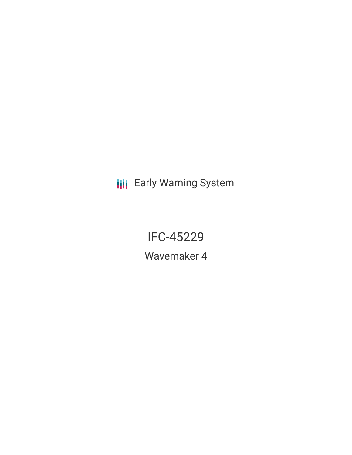**III** Early Warning System

IFC-45229

Wavemaker 4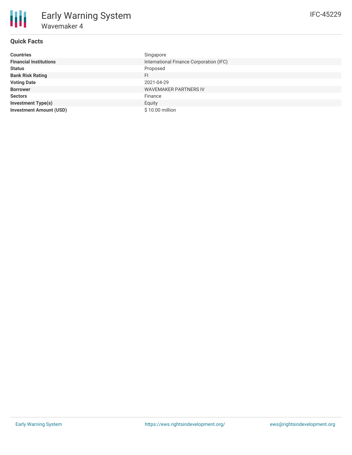# **Quick Facts**

| <b>Countries</b>               | Singapore                               |
|--------------------------------|-----------------------------------------|
| <b>Financial Institutions</b>  | International Finance Corporation (IFC) |
| <b>Status</b>                  | Proposed                                |
| <b>Bank Risk Rating</b>        | FI.                                     |
| <b>Voting Date</b>             | 2021-04-29                              |
| <b>Borrower</b>                | <b>WAVEMAKER PARTNERS IV</b>            |
| <b>Sectors</b>                 | Finance                                 |
| <b>Investment Type(s)</b>      | Equity                                  |
| <b>Investment Amount (USD)</b> | \$10.00 million                         |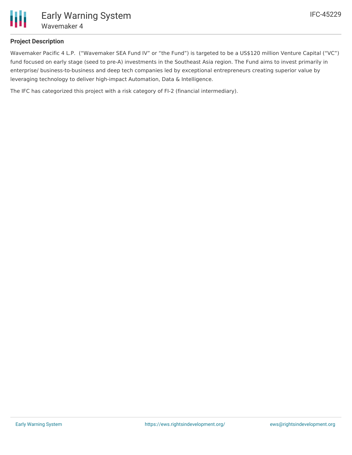

## **Project Description**

Wavemaker Pacific 4 L.P. ("Wavemaker SEA Fund IV" or "the Fund") is targeted to be a US\$120 million Venture Capital ("VC") fund focused on early stage (seed to pre-A) investments in the Southeast Asia region. The Fund aims to invest primarily in enterprise/ business-to-business and deep tech companies led by exceptional entrepreneurs creating superior value by leveraging technology to deliver high-impact Automation, Data & Intelligence.

The IFC has categorized this project with a risk category of FI-2 (financial intermediary).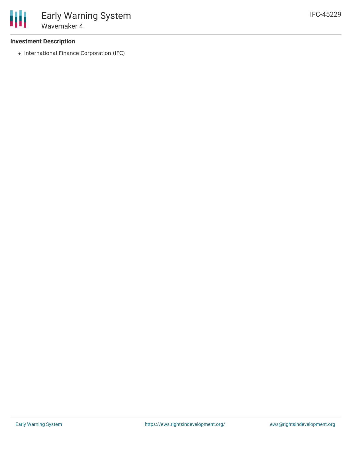### **Investment Description**

• International Finance Corporation (IFC)